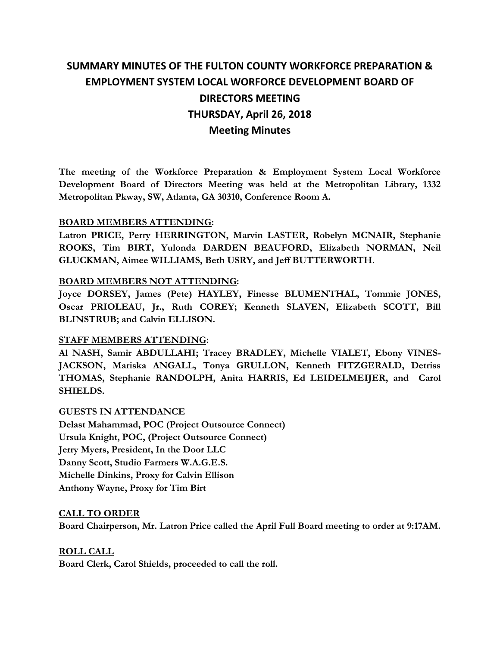# **SUMMARY MINUTES OF THE FULTON COUNTY WORKFORCE PREPARATION & EMPLOYMENT SYSTEM LOCAL WORFORCE DEVELOPMENT BOARD OF DIRECTORS MEETING THURSDAY, April 26, 2018 Meeting Minutes**

**The meeting of the Workforce Preparation & Employment System Local Workforce Development Board of Directors Meeting was held at the Metropolitan Library, 1332 Metropolitan Pkway, SW, Atlanta, GA 30310, Conference Room A.** 

#### **BOARD MEMBERS ATTENDING:**

**Latron PRICE, Perry HERRINGTON, Marvin LASTER, Robelyn MCNAIR, Stephanie ROOKS, Tim BIRT, Yulonda DARDEN BEAUFORD, Elizabeth NORMAN, Neil GLUCKMAN, Aimee WILLIAMS, Beth USRY, and Jeff BUTTERWORTH.** 

## **BOARD MEMBERS NOT ATTENDING:**

**Joyce DORSEY, James (Pete) HAYLEY, Finesse BLUMENTHAL, Tommie JONES, Oscar PRIOLEAU, Jr., Ruth COREY; Kenneth SLAVEN, Elizabeth SCOTT, Bill BLINSTRUB; and Calvin ELLISON.** 

# **STAFF MEMBERS ATTENDING:**

**Al NASH, Samir ABDULLAHI; Tracey BRADLEY, Michelle VIALET, Ebony VINES-JACKSON, Mariska ANGALL, Tonya GRULLON, Kenneth FITZGERALD, Detriss THOMAS, Stephanie RANDOLPH, Anita HARRIS, Ed LEIDELMEIJER, and Carol SHIELDS.**

#### **GUESTS IN ATTENDANCE**

**Delast Mahammad, POC (Project Outsource Connect) Ursula Knight, POC, (Project Outsource Connect) Jerry Myers, President, In the Door LLC Danny Scott, Studio Farmers W.A.G.E.S. Michelle Dinkins, Proxy for Calvin Ellison Anthony Wayne, Proxy for Tim Birt** 

#### **CALL TO ORDER**

**Board Chairperson, Mr. Latron Price called the April Full Board meeting to order at 9:17AM.** 

# **ROLL CALL**

**Board Clerk, Carol Shields, proceeded to call the roll.**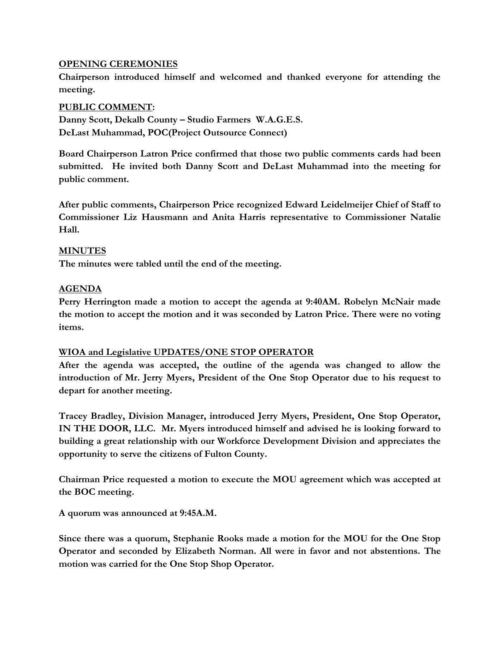## **OPENING CEREMONIES**

**Chairperson introduced himself and welcomed and thanked everyone for attending the meeting.** 

#### **PUBLIC COMMENT:**

**Danny Scott, Dekalb County – Studio Farmers W.A.G.E.S. DeLast Muhammad, POC(Project Outsource Connect)**

**Board Chairperson Latron Price confirmed that those two public comments cards had been submitted. He invited both Danny Scott and DeLast Muhammad into the meeting for public comment.**

**After public comments, Chairperson Price recognized Edward Leidelmeijer Chief of Staff to Commissioner Liz Hausmann and Anita Harris representative to Commissioner Natalie Hall.** 

#### **MINUTES**

**The minutes were tabled until the end of the meeting.**

#### **AGENDA**

**Perry Herrington made a motion to accept the agenda at 9:40AM. Robelyn McNair made the motion to accept the motion and it was seconded by Latron Price. There were no voting items.**

#### **WIOA and Legislative UPDATES/ONE STOP OPERATOR**

**After the agenda was accepted, the outline of the agenda was changed to allow the introduction of Mr. Jerry Myers, President of the One Stop Operator due to his request to depart for another meeting.** 

**Tracey Bradley, Division Manager, introduced Jerry Myers, President, One Stop Operator, IN THE DOOR, LLC. Mr. Myers introduced himself and advised he is looking forward to building a great relationship with our Workforce Development Division and appreciates the opportunity to serve the citizens of Fulton County.**

**Chairman Price requested a motion to execute the MOU agreement which was accepted at the BOC meeting.** 

**A quorum was announced at 9:45A.M.**

**Since there was a quorum, Stephanie Rooks made a motion for the MOU for the One Stop Operator and seconded by Elizabeth Norman. All were in favor and not abstentions. The motion was carried for the One Stop Shop Operator.**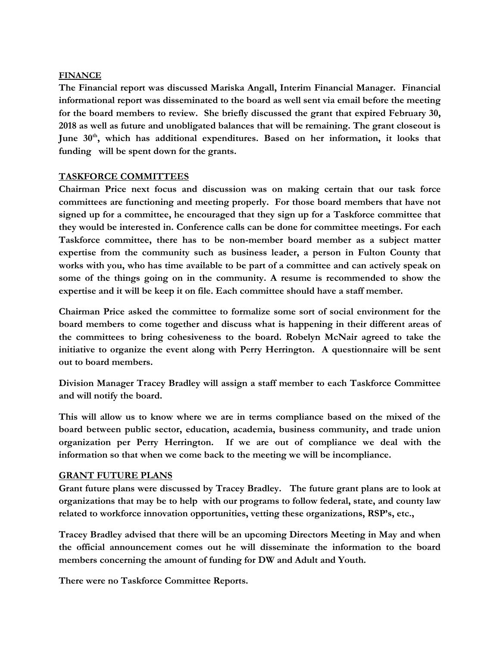#### **FINANCE**

**The Financial report was discussed Mariska Angall, Interim Financial Manager. Financial informational report was disseminated to the board as well sent via email before the meeting for the board members to review. She briefly discussed the grant that expired February 30, 2018 as well as future and unobligated balances that will be remaining. The grant closeout is June 30th, which has additional expenditures. Based on her information, it looks that funding will be spent down for the grants.** 

#### **TASKFORCE COMMITTEES**

**Chairman Price next focus and discussion was on making certain that our task force committees are functioning and meeting properly. For those board members that have not signed up for a committee, he encouraged that they sign up for a Taskforce committee that they would be interested in. Conference calls can be done for committee meetings. For each Taskforce committee, there has to be non-member board member as a subject matter expertise from the community such as business leader, a person in Fulton County that works with you, who has time available to be part of a committee and can actively speak on some of the things going on in the community. A resume is recommended to show the expertise and it will be keep it on file. Each committee should have a staff member.** 

**Chairman Price asked the committee to formalize some sort of social environment for the board members to come together and discuss what is happening in their different areas of the committees to bring cohesiveness to the board. Robelyn McNair agreed to take the initiative to organize the event along with Perry Herrington. A questionnaire will be sent out to board members.** 

**Division Manager Tracey Bradley will assign a staff member to each Taskforce Committee and will notify the board.**

**This will allow us to know where we are in terms compliance based on the mixed of the board between public sector, education, academia, business community, and trade union organization per Perry Herrington. If we are out of compliance we deal with the information so that when we come back to the meeting we will be incompliance.** 

#### **GRANT FUTURE PLANS**

**Grant future plans were discussed by Tracey Bradley. The future grant plans are to look at organizations that may be to help with our programs to follow federal, state, and county law related to workforce innovation opportunities, vetting these organizations, RSP's, etc.,** 

**Tracey Bradley advised that there will be an upcoming Directors Meeting in May and when the official announcement comes out he will disseminate the information to the board members concerning the amount of funding for DW and Adult and Youth.** 

**There were no Taskforce Committee Reports.**